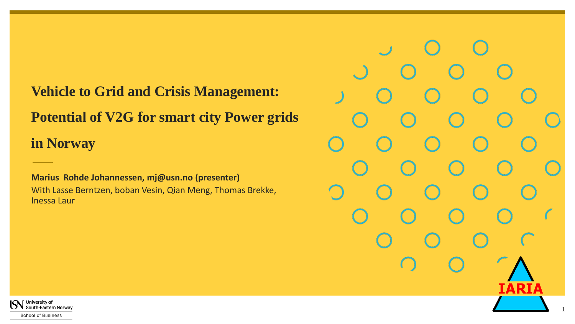### **Vehicle to Grid and Crisis Management:**

**Potential of V2G for smart city Power grids** 

**in Norway**

**Marius Rohde Johannessen, mj@usn.no (presenter)** With Lasse Berntzen, boban Vesin, Qian Meng, Thomas Brekke, Inessa Laur

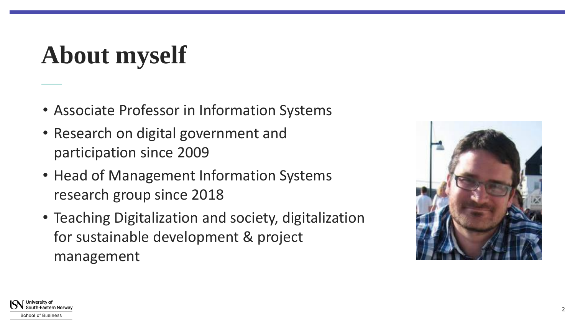# **About myself**

- Associate Professor in Information Systems
- Research on digital government and participation since 2009
- Head of Management Information Systems research group since 2018
- Teaching Digitalization and society, digitalization for sustainable development & project management



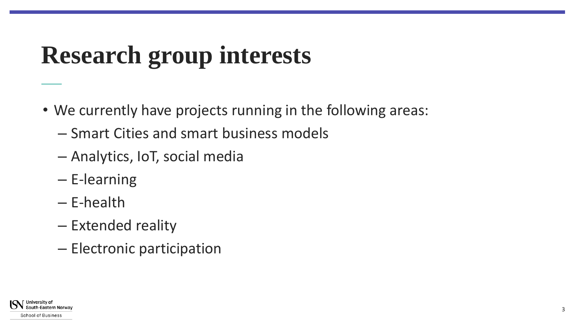### **Research group interests**

- We currently have projects running in the following areas:
	- Smart Cities and smart business models
	- Analytics, IoT, social media
	- E-learning
	- E-health
	- Extended reality
	- Electronic participation

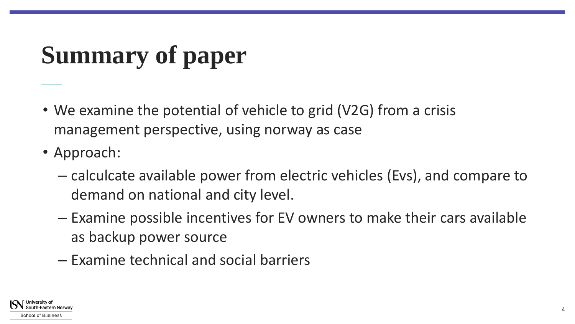# **Summary of paper**

- We examine the potential of vehicle to grid (V2G) from a crisis management perspective, using norway as case
- Approach:
	- calculcate available power from electric vehicles (Evs), and compare to demand on national and city level.
	- Examine possible incentives for EV owners to make their cars available as backup power source
	- Examine technical and social barriers

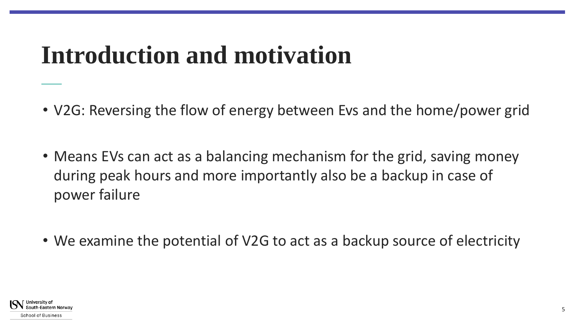### **Introduction and motivation**

- V2G: Reversing the flow of energy between Evs and the home/power grid
- Means EVs can act as a balancing mechanism for the grid, saving money during peak hours and more importantly also be a backup in case of power failure
- We examine the potential of V2G to act as a backup source of electricity

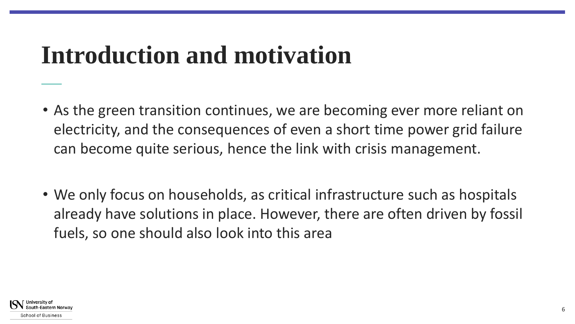### **Introduction and motivation**

- As the green transition continues, we are becoming ever more reliant on electricity, and the consequences of even a short time power grid failure can become quite serious, hence the link with crisis management.
- We only focus on households, as critical infrastructure such as hospitals already have solutions in place. However, there are often driven by fossil fuels, so one should also look into this area

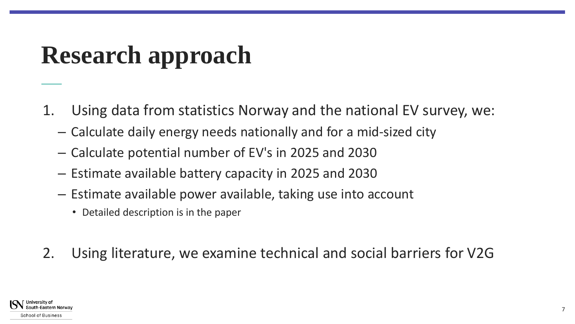### **Research approach**

- 1. Using data from statistics Norway and the national EV survey, we:
	- Calculate daily energy needs nationally and for a mid-sized city
	- Calculate potential number of EV's in 2025 and 2030
	- Estimate available battery capacity in 2025 and 2030
	- Estimate available power available, taking use into account
		- Detailed description is in the paper
- 2. Using literature, we examine technical and social barriers for V2G

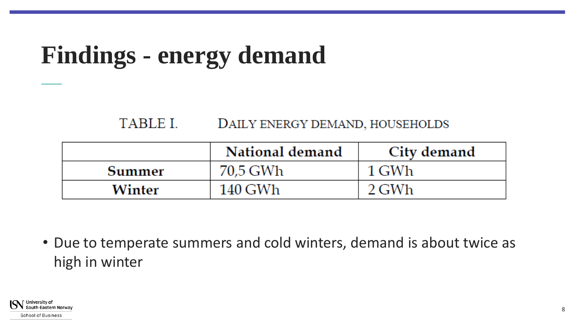### **Findings - energy demand**

#### TABLE L DAILY ENERGY DEMAND, HOUSEHOLDS

|        | National demand | City demand |
|--------|-----------------|-------------|
| Summer | 70,5 GWh        | 1 GWh       |
| Winter | 140 GWh         | 2 GWh       |

• Due to temperate summers and cold winters, demand is about twice as high in winter

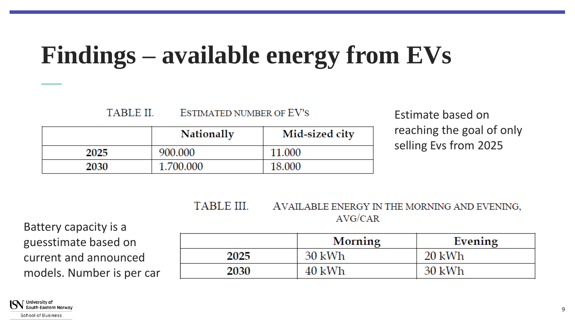### **Findings – available energy from EVs**

#### **TABLE II. ESTIMATED NUMBER OF EV'S**

|      | <b>Nationally</b> | Mid-sized city |
|------|-------------------|----------------|
| 2025 | 900.000           | 11.000         |
| 2030 | 1.700.000         | 18.000         |

### Estimate based on reaching the goal of only selling Evs from 2025

#### **TABLE III.** AVAILABLE ENERGY IN THE MORNING AND EVENING,  $AVG/CAR$

Battery capacity is a guesstimate based on current and announced models. Number is per car

|      | Morning | Evening |
|------|---------|---------|
| 2025 | 30 kWh  | 20 kWh  |
| 2030 | 40 kWh  | 30 kWh  |

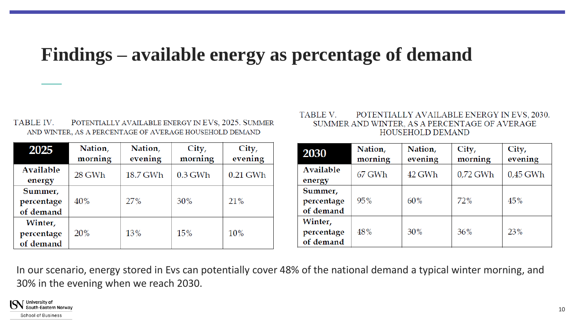### **Findings – available energy as percentage of demand**

**TABLE IV.** POTENTIALLY AVAILABLE ENERGY IN EVS, 2025. SUMMER AND WINTER, AS A PERCENTAGE OF AVERAGE HOUSEHOLD DEMAND

| 2025                               | Nation,<br>morning | Nation,<br>evening | City,<br>morning | City,<br>evening |
|------------------------------------|--------------------|--------------------|------------------|------------------|
| <b>Available</b><br>energy         | 28 GWh             | 18.7 GWh           | $0.3$ GWh        | $0.21$ GWh       |
| Summer,<br>percentage<br>of demand | 40%                | 27%                | 30%              | 21%              |
| Winter,<br>percentage<br>of demand | 20 <sup>%</sup>    | 13%                | 15%              | 10%              |

#### **TABLE V** POTENTIALLY AVAILABLE ENERGY IN EVS, 2030. SUMMER AND WINTER, AS A PERCENTAGE OF AVERAGE HOUSEHOLD DEMAND

| 2030                               | Nation,<br>morning | Nation,<br>evening | City,<br>morning | City,<br>evening |
|------------------------------------|--------------------|--------------------|------------------|------------------|
| Available<br>energy                | 67 GWh             | 42 GWh             | $0.72$ GWh       | $0.45$ GWh       |
| Summer,<br>percentage<br>of demand | 95%                | 60%                | 72%              | 45%              |
| Winter,<br>percentage<br>of demand | 48%                | 30%                | 36%              | 23%              |

In our scenario, energy stored in Evs can potentially cover 48% of the national demand a typical winter morning, and 30% in the evening when we reach 2030.

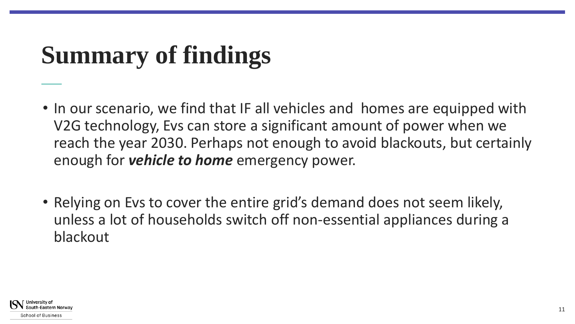# **Summary of findings**

- In our scenario, we find that IF all vehicles and homes are equipped with V2G technology, Evs can store a significant amount of power when we reach the year 2030. Perhaps not enough to avoid blackouts, but certainly enough for *vehicle to home* emergency power.
- Relying on Evs to cover the entire grid's demand does not seem likely, unless a lot of households switch off non-essential appliances during a blackout

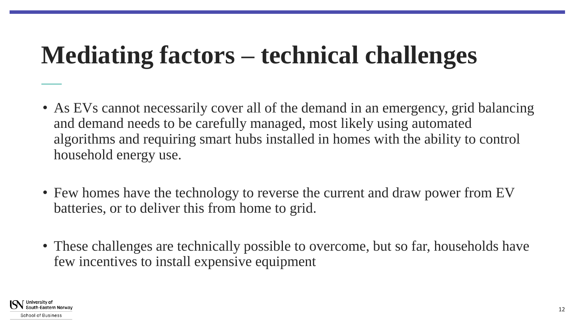### **Mediating factors – technical challenges**

- As EVs cannot necessarily cover all of the demand in an emergency, grid balancing and demand needs to be carefully managed, most likely using automated algorithms and requiring smart hubs installed in homes with the ability to control household energy use.
- Few homes have the technology to reverse the current and draw power from EV batteries, or to deliver this from home to grid.
- These challenges are technically possible to overcome, but so far, households have few incentives to install expensive equipment

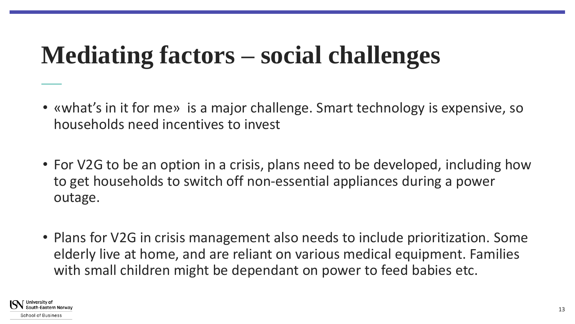### **Mediating factors – social challenges**

- «what's in it for me» is a major challenge. Smart technology is expensive, so households need incentives to invest
- For V2G to be an option in a crisis, plans need to be developed, including how to get households to switch off non-essential appliances during a power outage.
- Plans for V2G in crisis management also needs to include prioritization. Some elderly live at home, and are reliant on various medical equipment. Families with small children might be dependant on power to feed babies etc.

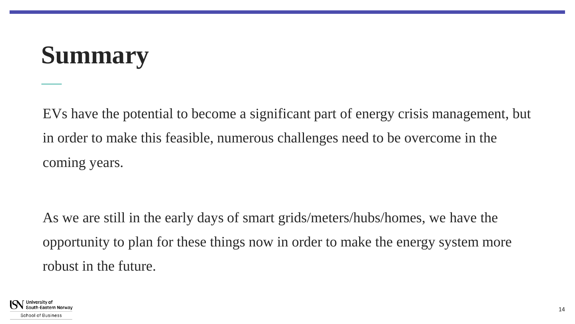### **Summary**

EVs have the potential to become a significant part of energy crisis management, but in order to make this feasible, numerous challenges need to be overcome in the coming years.

As we are still in the early days of smart grids/meters/hubs/homes, we have the opportunity to plan for these things now in order to make the energy system more robust in the future.